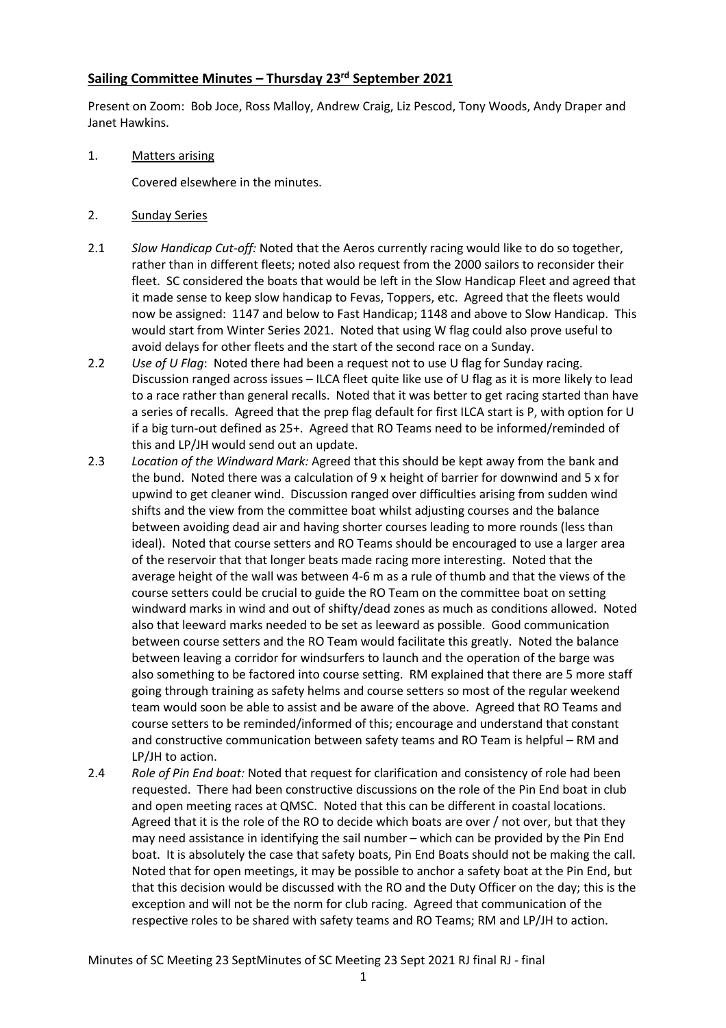### **Sailing Committee Minutes – Thursday 23rd September 2021**

Present on Zoom: Bob Joce, Ross Malloy, Andrew Craig, Liz Pescod, Tony Woods, Andy Draper and Janet Hawkins.

1. Matters arising

Covered elsewhere in the minutes.

- 2. Sunday Series
- 2.1 *Slow Handicap Cut-off:* Noted that the Aeros currently racing would like to do so together, rather than in different fleets; noted also request from the 2000 sailors to reconsider their fleet. SC considered the boats that would be left in the Slow Handicap Fleet and agreed that it made sense to keep slow handicap to Fevas, Toppers, etc. Agreed that the fleets would now be assigned: 1147 and below to Fast Handicap; 1148 and above to Slow Handicap. This would start from Winter Series 2021. Noted that using W flag could also prove useful to avoid delays for other fleets and the start of the second race on a Sunday.
- 2.2 *Use of U Flag*: Noted there had been a request not to use U flag for Sunday racing. Discussion ranged across issues – ILCA fleet quite like use of U flag as it is more likely to lead to a race rather than general recalls. Noted that it was better to get racing started than have a series of recalls. Agreed that the prep flag default for first ILCA start is P, with option for U if a big turn-out defined as 25+. Agreed that RO Teams need to be informed/reminded of this and LP/JH would send out an update.
- 2.3 *Location of the Windward Mark:* Agreed that this should be kept away from the bank and the bund. Noted there was a calculation of 9 x height of barrier for downwind and 5 x for upwind to get cleaner wind. Discussion ranged over difficulties arising from sudden wind shifts and the view from the committee boat whilst adjusting courses and the balance between avoiding dead air and having shorter courses leading to more rounds (less than ideal). Noted that course setters and RO Teams should be encouraged to use a larger area of the reservoir that that longer beats made racing more interesting. Noted that the average height of the wall was between 4-6 m as a rule of thumb and that the views of the course setters could be crucial to guide the RO Team on the committee boat on setting windward marks in wind and out of shifty/dead zones as much as conditions allowed. Noted also that leeward marks needed to be set as leeward as possible. Good communication between course setters and the RO Team would facilitate this greatly. Noted the balance between leaving a corridor for windsurfers to launch and the operation of the barge was also something to be factored into course setting. RM explained that there are 5 more staff going through training as safety helms and course setters so most of the regular weekend team would soon be able to assist and be aware of the above. Agreed that RO Teams and course setters to be reminded/informed of this; encourage and understand that constant and constructive communication between safety teams and RO Team is helpful – RM and LP/JH to action.
- 2.4 *Role of Pin End boat:* Noted that request for clarification and consistency of role had been requested. There had been constructive discussions on the role of the Pin End boat in club and open meeting races at QMSC. Noted that this can be different in coastal locations. Agreed that it is the role of the RO to decide which boats are over / not over, but that they may need assistance in identifying the sail number – which can be provided by the Pin End boat. It is absolutely the case that safety boats, Pin End Boats should not be making the call. Noted that for open meetings, it may be possible to anchor a safety boat at the Pin End, but that this decision would be discussed with the RO and the Duty Officer on the day; this is the exception and will not be the norm for club racing. Agreed that communication of the respective roles to be shared with safety teams and RO Teams; RM and LP/JH to action.

Minutes of SC Meeting 23 SeptMinutes of SC Meeting 23 Sept 2021 RJ final RJ - final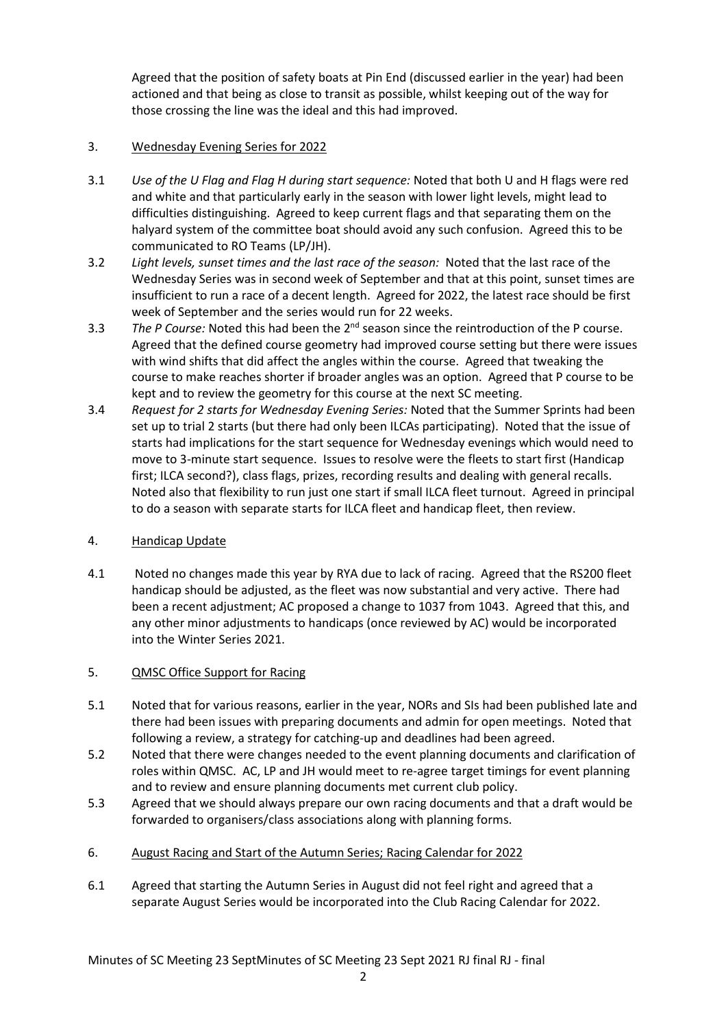Agreed that the position of safety boats at Pin End (discussed earlier in the year) had been actioned and that being as close to transit as possible, whilst keeping out of the way for those crossing the line was the ideal and this had improved.

### 3. Wednesday Evening Series for 2022

- 3.1 *Use of the U Flag and Flag H during start sequence:* Noted that both U and H flags were red and white and that particularly early in the season with lower light levels, might lead to difficulties distinguishing. Agreed to keep current flags and that separating them on the halyard system of the committee boat should avoid any such confusion. Agreed this to be communicated to RO Teams (LP/JH).
- 3.2 *Light levels, sunset times and the last race of the season:* Noted that the last race of the Wednesday Series was in second week of September and that at this point, sunset times are insufficient to run a race of a decent length. Agreed for 2022, the latest race should be first week of September and the series would run for 22 weeks.
- 3.3 The P Course: Noted this had been the 2<sup>nd</sup> season since the reintroduction of the P course. Agreed that the defined course geometry had improved course setting but there were issues with wind shifts that did affect the angles within the course. Agreed that tweaking the course to make reaches shorter if broader angles was an option. Agreed that P course to be kept and to review the geometry for this course at the next SC meeting.
- 3.4 *Request for 2 starts for Wednesday Evening Series:* Noted that the Summer Sprints had been set up to trial 2 starts (but there had only been ILCAs participating). Noted that the issue of starts had implications for the start sequence for Wednesday evenings which would need to move to 3-minute start sequence. Issues to resolve were the fleets to start first (Handicap first; ILCA second?), class flags, prizes, recording results and dealing with general recalls. Noted also that flexibility to run just one start if small ILCA fleet turnout. Agreed in principal to do a season with separate starts for ILCA fleet and handicap fleet, then review.

### 4. Handicap Update

4.1 Noted no changes made this year by RYA due to lack of racing. Agreed that the RS200 fleet handicap should be adjusted, as the fleet was now substantial and very active. There had been a recent adjustment; AC proposed a change to 1037 from 1043. Agreed that this, and any other minor adjustments to handicaps (once reviewed by AC) would be incorporated into the Winter Series 2021.

# 5. QMSC Office Support for Racing

- 5.1 Noted that for various reasons, earlier in the year, NORs and SIs had been published late and there had been issues with preparing documents and admin for open meetings. Noted that following a review, a strategy for catching-up and deadlines had been agreed.
- 5.2 Noted that there were changes needed to the event planning documents and clarification of roles within QMSC. AC, LP and JH would meet to re-agree target timings for event planning and to review and ensure planning documents met current club policy.
- 5.3 Agreed that we should always prepare our own racing documents and that a draft would be forwarded to organisers/class associations along with planning forms.
- 6. August Racing and Start of the Autumn Series; Racing Calendar for 2022
- 6.1 Agreed that starting the Autumn Series in August did not feel right and agreed that a separate August Series would be incorporated into the Club Racing Calendar for 2022.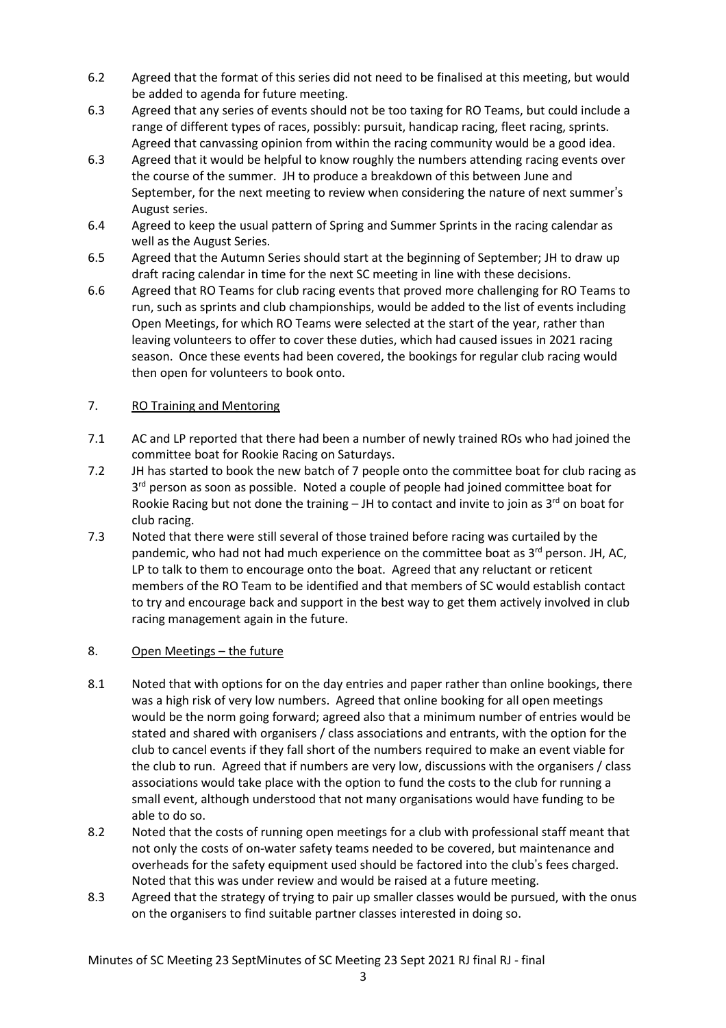- 6.2 Agreed that the format of this series did not need to be finalised at this meeting, but would be added to agenda for future meeting.
- 6.3 Agreed that any series of events should not be too taxing for RO Teams, but could include a range of different types of races, possibly: pursuit, handicap racing, fleet racing, sprints. Agreed that canvassing opinion from within the racing community would be a good idea.
- 6.3 Agreed that it would be helpful to know roughly the numbers attending racing events over the course of the summer. JH to produce a breakdown of this between June and September, for the next meeting to review when considering the nature of next summer's August series.
- 6.4 Agreed to keep the usual pattern of Spring and Summer Sprints in the racing calendar as well as the August Series.
- 6.5 Agreed that the Autumn Series should start at the beginning of September; JH to draw up draft racing calendar in time for the next SC meeting in line with these decisions.
- 6.6 Agreed that RO Teams for club racing events that proved more challenging for RO Teams to run, such as sprints and club championships, would be added to the list of events including Open Meetings, for which RO Teams were selected at the start of the year, rather than leaving volunteers to offer to cover these duties, which had caused issues in 2021 racing season. Once these events had been covered, the bookings for regular club racing would then open for volunteers to book onto.

### 7. RO Training and Mentoring

- 7.1 AC and LP reported that there had been a number of newly trained ROs who had joined the committee boat for Rookie Racing on Saturdays.
- 7.2 JH has started to book the new batch of 7 people onto the committee boat for club racing as 3<sup>rd</sup> person as soon as possible. Noted a couple of people had joined committee boat for Rookie Racing but not done the training – JH to contact and invite to join as 3<sup>rd</sup> on boat for club racing.
- 7.3 Noted that there were still several of those trained before racing was curtailed by the pandemic, who had not had much experience on the committee boat as 3<sup>rd</sup> person. JH, AC, LP to talk to them to encourage onto the boat. Agreed that any reluctant or reticent members of the RO Team to be identified and that members of SC would establish contact to try and encourage back and support in the best way to get them actively involved in club racing management again in the future.

# 8. Open Meetings – the future

- 8.1 Noted that with options for on the day entries and paper rather than online bookings, there was a high risk of very low numbers. Agreed that online booking for all open meetings would be the norm going forward; agreed also that a minimum number of entries would be stated and shared with organisers / class associations and entrants, with the option for the club to cancel events if they fall short of the numbers required to make an event viable for the club to run. Agreed that if numbers are very low, discussions with the organisers / class associations would take place with the option to fund the costs to the club for running a small event, although understood that not many organisations would have funding to be able to do so.
- 8.2 Noted that the costs of running open meetings for a club with professional staff meant that not only the costs of on-water safety teams needed to be covered, but maintenance and overheads for the safety equipment used should be factored into the club's fees charged. Noted that this was under review and would be raised at a future meeting.
- 8.3 Agreed that the strategy of trying to pair up smaller classes would be pursued, with the onus on the organisers to find suitable partner classes interested in doing so.